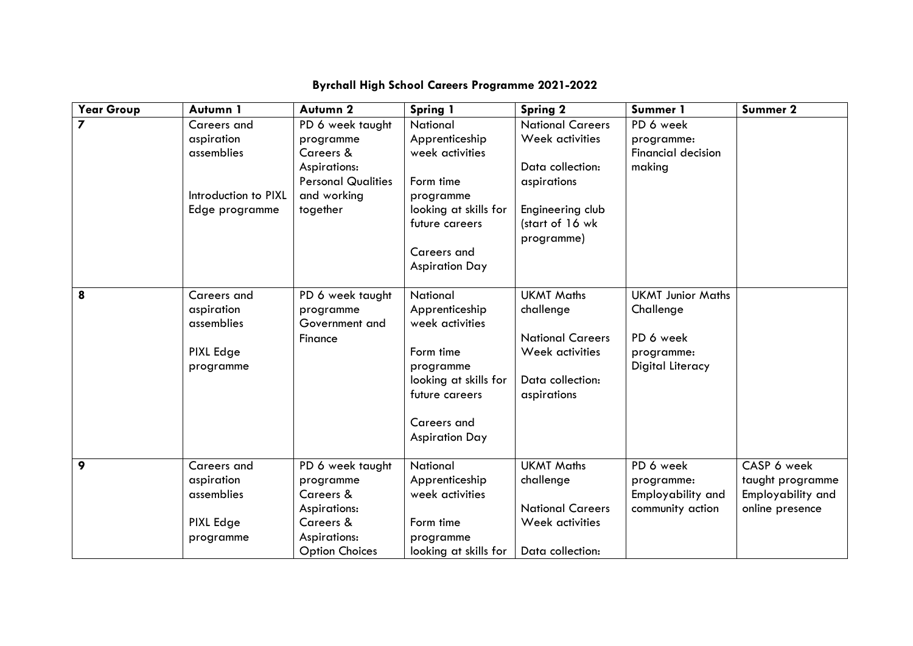| <b>Year Group</b> | Autumn 1             | Autumn <sub>2</sub>       | Spring 1                                | Spring 2                | Summer 1                  | Summer 2          |
|-------------------|----------------------|---------------------------|-----------------------------------------|-------------------------|---------------------------|-------------------|
|                   | Careers and          | PD 6 week taught          | National                                | <b>National Careers</b> | PD 6 week                 |                   |
|                   | aspiration           | programme                 | Apprenticeship                          | Week activities         | programme:                |                   |
|                   | assemblies           | Careers &                 | week activities                         |                         | <b>Financial decision</b> |                   |
|                   |                      | Aspirations:              |                                         | Data collection:        | making                    |                   |
|                   |                      | <b>Personal Qualities</b> | Form time                               | aspirations             |                           |                   |
|                   | Introduction to PIXL | and working               | programme                               |                         |                           |                   |
|                   | Edge programme       | together                  | looking at skills for                   | Engineering club        |                           |                   |
|                   |                      |                           | future careers                          | (start of 16 wk         |                           |                   |
|                   |                      |                           |                                         | programme)              |                           |                   |
|                   |                      |                           | Careers and                             |                         |                           |                   |
|                   |                      |                           | <b>Aspiration Day</b>                   |                         |                           |                   |
|                   |                      |                           |                                         |                         |                           |                   |
| 8                 | <b>Careers and</b>   | PD 6 week taught          | National                                | <b>UKMT Maths</b>       | <b>UKMT Junior Maths</b>  |                   |
|                   | aspiration           | programme                 | Apprenticeship                          | challenge               | Challenge                 |                   |
|                   | assemblies           | Government and            | week activities                         |                         |                           |                   |
|                   |                      | Finance                   |                                         | <b>National Careers</b> | PD 6 week                 |                   |
|                   | PIXL Edge            |                           | Form time                               | Week activities         | programme:                |                   |
|                   | programme            |                           | programme                               | Data collection:        | Digital Literacy          |                   |
|                   |                      |                           | looking at skills for<br>future careers |                         |                           |                   |
|                   |                      |                           |                                         | aspirations             |                           |                   |
|                   |                      |                           | Careers and                             |                         |                           |                   |
|                   |                      |                           | <b>Aspiration Day</b>                   |                         |                           |                   |
|                   |                      |                           |                                         |                         |                           |                   |
| 9                 | <b>Careers and</b>   | PD 6 week taught          | National                                | <b>UKMT Maths</b>       | PD 6 week                 | CASP 6 week       |
|                   | aspiration           | programme                 | Apprenticeship                          | challenge               | programme:                | taught programme  |
|                   | assemblies           | Careers &                 | week activities                         |                         | Employability and         | Employability and |
|                   |                      | Aspirations:              |                                         | <b>National Careers</b> | community action          | online presence   |
|                   | PIXL Edge            | Careers &                 | Form time                               | Week activities         |                           |                   |
|                   | programme            | Aspirations:              | programme                               |                         |                           |                   |
|                   |                      | <b>Option Choices</b>     | looking at skills for                   | Data collection:        |                           |                   |

## **Byrchall High School Careers Programme 2021-2022**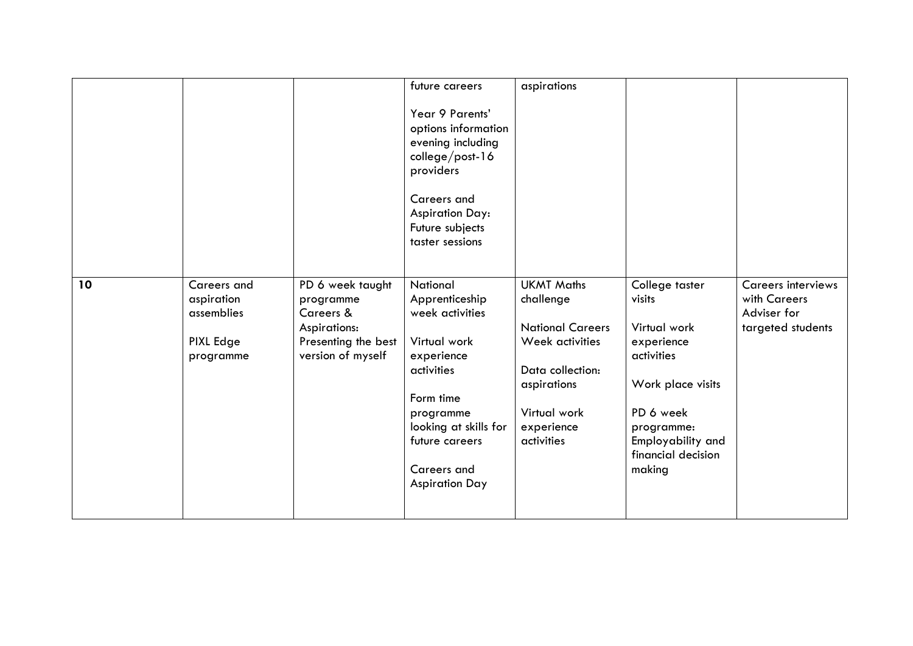|    |                                                                   |                                                                                                        | future careers                                                                                                                                                                                         | aspirations                                                                                                                                                 |                                                                                                                                                                           |                                                                               |
|----|-------------------------------------------------------------------|--------------------------------------------------------------------------------------------------------|--------------------------------------------------------------------------------------------------------------------------------------------------------------------------------------------------------|-------------------------------------------------------------------------------------------------------------------------------------------------------------|---------------------------------------------------------------------------------------------------------------------------------------------------------------------------|-------------------------------------------------------------------------------|
|    |                                                                   |                                                                                                        | Year 9 Parents'<br>options information<br>evening including<br>college/post-16<br>providers<br>Careers and<br><b>Aspiration Day:</b><br>Future subjects<br>taster sessions                             |                                                                                                                                                             |                                                                                                                                                                           |                                                                               |
| 10 | Careers and<br>aspiration<br>assemblies<br>PIXL Edge<br>programme | PD 6 week taught<br>programme<br>Careers &<br>Aspirations:<br>Presenting the best<br>version of myself | National<br>Apprenticeship<br>week activities<br>Virtual work<br>experience<br>activities<br>Form time<br>programme<br>looking at skills for<br>future careers<br>Careers and<br><b>Aspiration Day</b> | <b>UKMT Maths</b><br>challenge<br><b>National Careers</b><br>Week activities<br>Data collection:<br>aspirations<br>Virtual work<br>experience<br>activities | College taster<br>visits<br>Virtual work<br>experience<br>activities<br>Work place visits<br>PD 6 week<br>programme:<br>Employability and<br>financial decision<br>making | <b>Careers interviews</b><br>with Careers<br>Adviser for<br>targeted students |